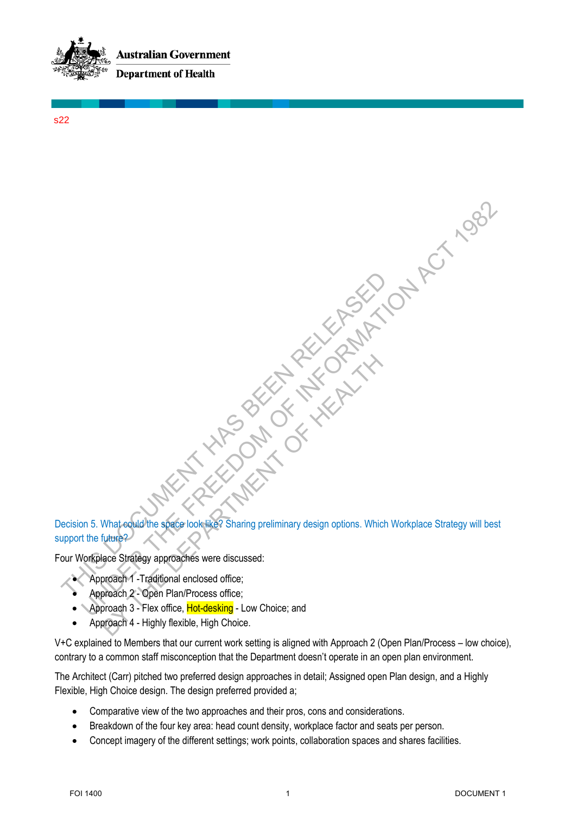

s22

Decision 5. What could the space look like? Sharing preliminary design options. Which Workplace Strategy will best support the future? THE SURFACE STRIBUTE ON THE SURFACE STRIBUTE ON THE SURFACE STRIBUTE ON THE SURFACE STRIBUTE ON THE SURFACE STRIBUTE ON THE SURFACE STRIBUTE ON THE SURFACE STRIBUTE ON THE SURFACE STRIBUTE ON THE SURFACE STRIBUTE ON THE SU Experience Strategy approaches were discussed.<br>
The future of the future of the future of the free of the state of the state of the future of the future of the future of the future of the future of the future of the future What equila the space look like? Sharing preliminary design options. Which<br>that equila the space look like? Sharing preliminary design options. Which<br>there?<br>Jace Strategy approaches were discussed:<br>proach 3 - Flex office,

Four Workplace Strategy approaches were discussed:

- Approach 1 -Traditional enclosed office;
- Approach 2 Open Plan/Process office;
- Approach 3 Flex office, **Hot-desking** Low Choice; and
- Approach 4 Highly flexible, High Choice.

V+C explained to Members that our current work setting is aligned with Approach 2 (Open Plan/Process – low choice), contrary to a common staff misconception that the Department doesn't operate in an open plan environment.

The Architect (Carr) pitched two preferred design approaches in detail; Assigned open Plan design, and a Highly Flexible, High Choice design. The design preferred provided a;

- Comparative view of the two approaches and their pros, cons and considerations.
- Breakdown of the four key area: head count density, workplace factor and seats per person.
- Concept imagery of the different settings; work points, collaboration spaces and shares facilities.